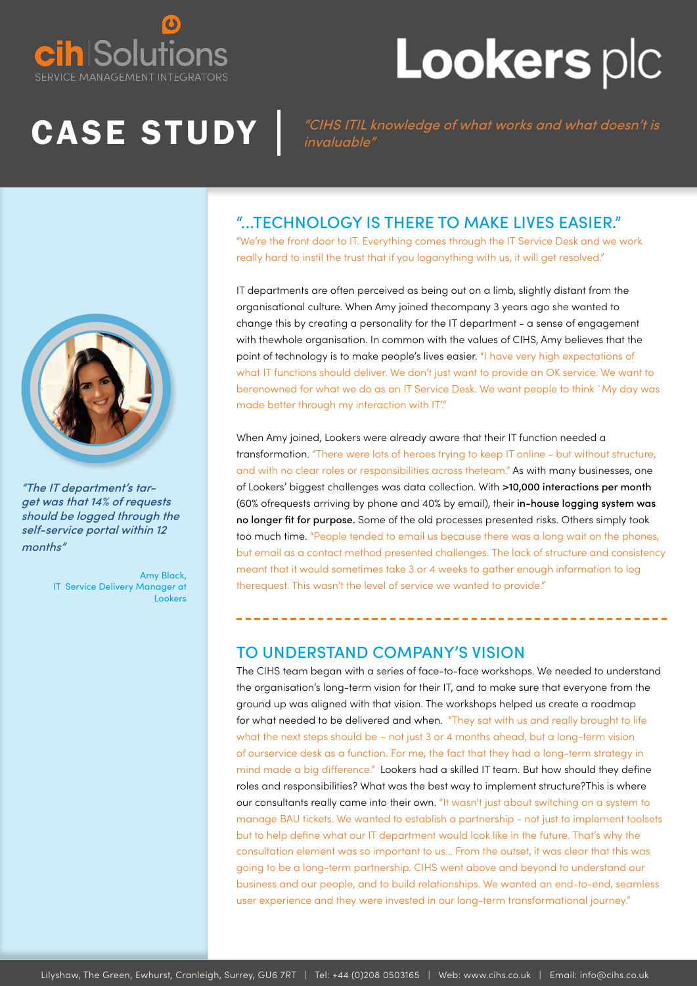

## **Lookers plc**

CASE STUDY *CHS ITIL knowledge of what works and what doesn't is* invaluable"

## "...TECHNOLOGY IS THERE TO MAKE LIVES EASIER."

"We're the front door to IT. Everything comes through the IT Service Desk and we work really hard to instil the trust that if you loganything with us, it will get resolved."

IT departments are often perceived as being out on a limb, slightly distant from the organisational culture. When Amy joined thecompany 3 years ago she wanted to change this by creating a personality for the IT department - a sense of engagement with thewhole organisation. In common with the values of CIHS, Amy believes that the point of technology is to make people's lives easier. "I have very high expectations of what IT functions should deliver. We don't just want to provide an OK service. We want to berenowned for what we do as an IT Service Desk. We want people to think `My day was made better through my interaction with IT."

When Amy joined, Lookers were already aware that their IT function needed a transformation. "There were lots of heroes trying to keep IT online - but without structure, and with no clear roles or responsibilities across theteam." As with many businesses, one of Lookers' biggest challenges was data collection. With >10,000 interactions per month (60% ofrequests arriving by phone and 40% by email), their in-house logging system was no longer fit for purpose. Some of the old processes presented risks. Others simply took too much time. "People tended to email us because there was a long wait on the phones, but email as a contact method presented challenges. The lack of structure and consistency meant that it would sometimes take 3 or 4 weeks to gather enough information to log therequest. This wasn't the level of service we wanted to provide."

#### TO UNDERSTAND COMPANY'S VISION

The CIHS team began with a series of face-to-face workshops. We needed to understand the organisation's long-term vision for their IT, and to make sure that everyone from the ground up was aligned with that vision. The workshops helped us create a roadmap for what needed to be delivered and when. "They sat with us and really brought to life what the next steps should be – not just 3 or 4 months ahead, but a long-term vision of ourservice desk as a function. For me, the fact that they had a long-term strategy in mind made a big difference." Lookers had a skilled IT team. But how should they define roles and responsibilities? What was the best way to implement structure?This is where our consultants really came into their own. "It wasn't just about switching on a system to manage BAU tickets. We wanted to establish a partnership - not just to implement toolsets but to help define what our IT department would look like in the future. That's why the consultation element was so important to us... From the outset, it was clear that this was going to be a long-term partnership. CIHS went above and beyond to understand our business and our people, and to build relationships. We wanted an end-to-end, seamless user experience and they were invested in our long-term transformational journey."



"The IT department's target was that 14% of requests should be logged through the self-service portal within 12 months"

> Amy Black, IT Service Delivery Manager at Lookers